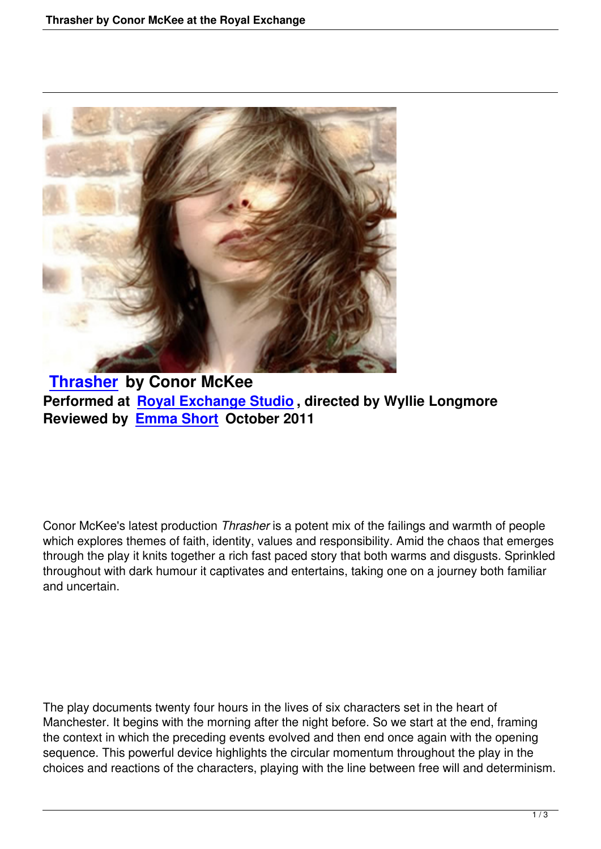

## **Thrasher by Conor McKee** Performed at **Royal Exchange Studio**, directed by Wyllie Longmore **[Reviewed b](thrasher-conor-mckee-royal-exchange.html)y Emma Short October 2011**

Conor McKee's latest production *Thrasher* is a potent mix of the failings and warmth of people which explores themes of faith, identity, values and responsibility. Amid the chaos that emerges through the play it knits together a rich fast paced story that both warms and disgusts. Sprinkled throughout with dark humour it captivates and entertains, taking one on a journey both familiar and uncertain.

The play documents twenty four hours in the lives of six characters set in the heart of Manchester. It begins with the morning after the night before. So we start at the end, framing the context in which the preceding events evolved and then end once again with the opening sequence. This powerful device highlights the circular momentum throughout the play in the choices and reactions of the characters, playing with the line between free will and determinism.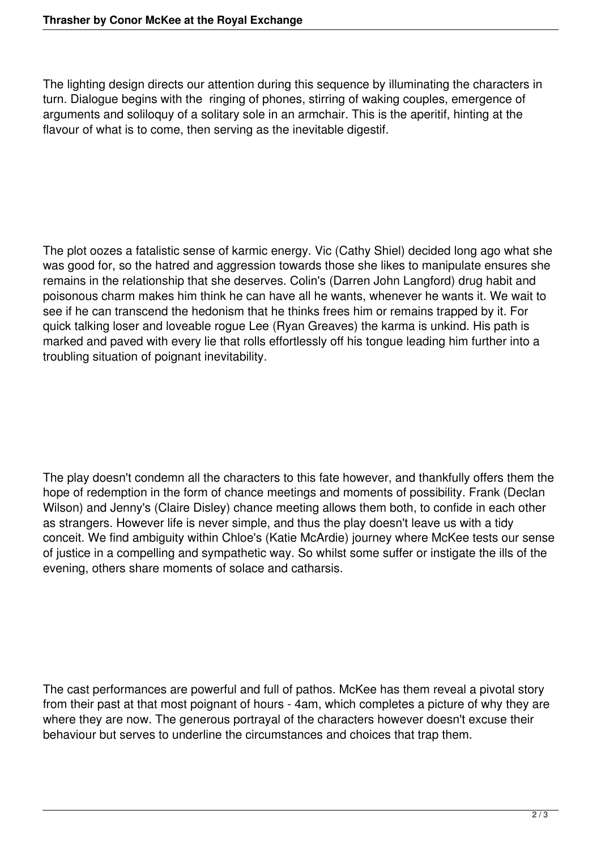The lighting design directs our attention during this sequence by illuminating the characters in turn. Dialogue begins with the ringing of phones, stirring of waking couples, emergence of arguments and soliloquy of a solitary sole in an armchair. This is the aperitif, hinting at the flavour of what is to come, then serving as the inevitable digestif.

The plot oozes a fatalistic sense of karmic energy. Vic (Cathy Shiel) decided long ago what she was good for, so the hatred and aggression towards those she likes to manipulate ensures she remains in the relationship that she deserves. Colin's (Darren John Langford) drug habit and poisonous charm makes him think he can have all he wants, whenever he wants it. We wait to see if he can transcend the hedonism that he thinks frees him or remains trapped by it. For quick talking loser and loveable rogue Lee (Ryan Greaves) the karma is unkind. His path is marked and paved with every lie that rolls effortlessly off his tongue leading him further into a troubling situation of poignant inevitability.

The play doesn't condemn all the characters to this fate however, and thankfully offers them the hope of redemption in the form of chance meetings and moments of possibility. Frank (Declan Wilson) and Jenny's (Claire Disley) chance meeting allows them both, to confide in each other as strangers. However life is never simple, and thus the play doesn't leave us with a tidy conceit. We find ambiguity within Chloe's (Katie McArdie) journey where McKee tests our sense of justice in a compelling and sympathetic way. So whilst some suffer or instigate the ills of the evening, others share moments of solace and catharsis.

The cast performances are powerful and full of pathos. McKee has them reveal a pivotal story from their past at that most poignant of hours - 4am, which completes a picture of why they are where they are now. The generous portrayal of the characters however doesn't excuse their behaviour but serves to underline the circumstances and choices that trap them.